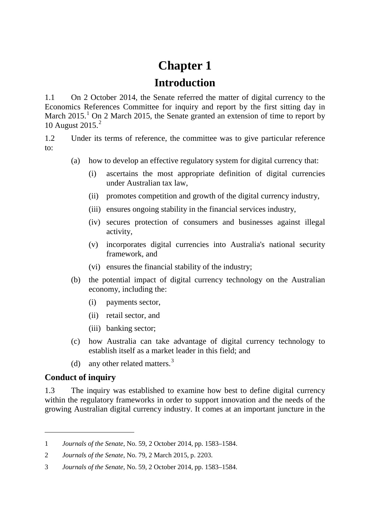# **Chapter 1**

## **Introduction**

1.1 On 2 October 2014, the Senate referred the matter of digital currency to the Economics References Committee for inquiry and report by the first sitting day in March 20[1](#page-0-0)5.<sup>1</sup> On 2 March 2015, the Senate granted an extension of time to report by 10 August 2015. [2](#page-0-1)

1.2 Under its terms of reference, the committee was to give particular reference to:

- (a) how to develop an effective regulatory system for digital currency that:
	- (i) ascertains the most appropriate definition of digital currencies under Australian tax law,
	- (ii) promotes competition and growth of the digital currency industry,
	- (iii) ensures ongoing stability in the financial services industry,
	- (iv) secures protection of consumers and businesses against illegal activity,
	- (v) incorporates digital currencies into Australia's national security framework, and
	- (vi) ensures the financial stability of the industry;
- (b) the potential impact of digital currency technology on the Australian economy, including the:
	- (i) payments sector,
	- (ii) retail sector, and
	- (iii) banking sector;
- (c) how Australia can take advantage of digital currency technology to establish itself as a market leader in this field; and
- (d) any other related matters.<sup>[3](#page-0-2)</sup>

### **Conduct of inquiry**

-

1.3 The inquiry was established to examine how best to define digital currency within the regulatory frameworks in order to support innovation and the needs of the growing Australian digital currency industry. It comes at an important juncture in the

<span id="page-0-0"></span><sup>1</sup> *Journals of the Senate*, No. 59, 2 October 2014, pp. 1583–1584.

<span id="page-0-1"></span><sup>2</sup> *Journals of the Senate*, No. 79, 2 March 2015, p. 2203.

<span id="page-0-2"></span><sup>3</sup> *Journals of the Senate*, No. 59, 2 October 2014, pp. 1583–1584.